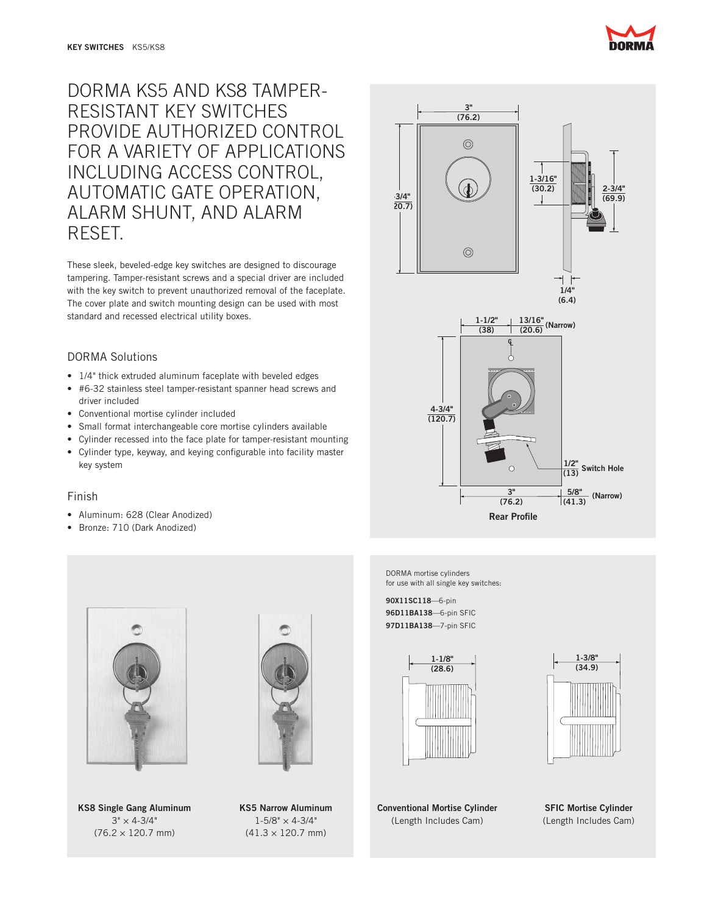

# DORMA KS5 AND KS8 TAMPER-RESISTANT KEY SWITCHES PROVIDE AUTHORIZED CONTROL FOR A VARIETY OF APPLICATIONS INCLUDING ACCESS CONTROL, AUTOMATIC GATE OPERATION, ALARM SHUNT, AND ALARM RESET.

These sleek, beveled-edge key switches are designed to discourage tampering. Tamper-resistant screws and a special driver are included with the key switch to prevent unauthorized removal of the faceplate. The cover plate and switch mounting design can be used with most standard and recessed electrical utility boxes.

# DORMA Solutions

- 1/4" thick extruded aluminum faceplate with beveled edges
- • #6-32 stainless steel tamper-resistant spanner head screws and driver included
- • Conventional mortise cylinder included
- Small format interchangeable core mortise cylinders available
- • Cylinder recessed into the face plate for tamper-resistant mounting
- • Cylinder type, keyway, and keying configurable into facility master key system

# Finish

- • Aluminum: 628 (Clear Anodized)
- • Bronze: 710 (Dark Anodized)







KS8 Single Gang Aluminum  $3" \times 4 - 3/4"$  $(76.2 \times 120.7 \text{ mm})$ 

KS5 Narrow Aluminum  $1 - 5/8" \times 4 - 3/4"$  $(41.3 \times 120.7 \text{ mm})$ 

DORMA mortise cylinders for use with all single key switches:

90X11SC118—6-pin 96D11BA138—6-pin SFIC 97D11BA138—7-pin SFIC



1-3/8" (34.9)

Conventional Mortise Cylinder (Length Includes Cam)

SFIC Mortise Cylinder (Length Includes Cam)